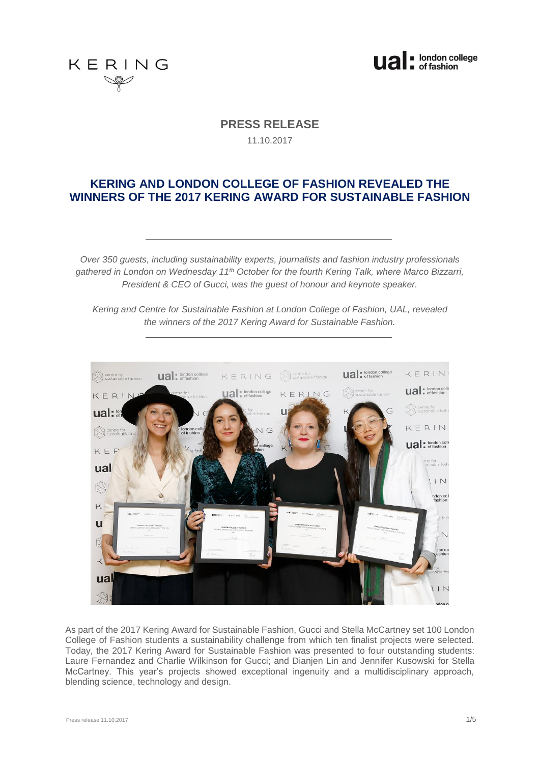



**PRESS RELEASE** 

11.10.2017

# **KERING AND LONDON COLLEGE OF FASHION REVEALED THE WINNERS OF THE 2017 KERING AWARD FOR SUSTAINABLE FASHION**

*Over 350 guests, including sustainability experts, journalists and fashion industry professionals gathered in London on Wednesday 11th October for the fourth Kering Talk, where Marco Bizzarri, President & CEO of Gucci, was the guest of honour and keynote speaker.*

*Kering and Centre for Sustainable Fashion at London College of Fashion, UAL, revealed the winners of the 2017 Kering Award for Sustainable Fashion.*



As part of the 2017 Kering Award for Sustainable Fashion, Gucci and Stella McCartney set 100 London College of Fashion students a sustainability challenge from which ten finalist projects were selected. Today, the 2017 Kering Award for Sustainable Fashion was presented to four outstanding students: Laure Fernandez and Charlie Wilkinson for Gucci; and Dianjen Lin and Jennifer Kusowski for Stella McCartney. This year's projects showed exceptional ingenuity and a multidisciplinary approach, blending science, technology and design.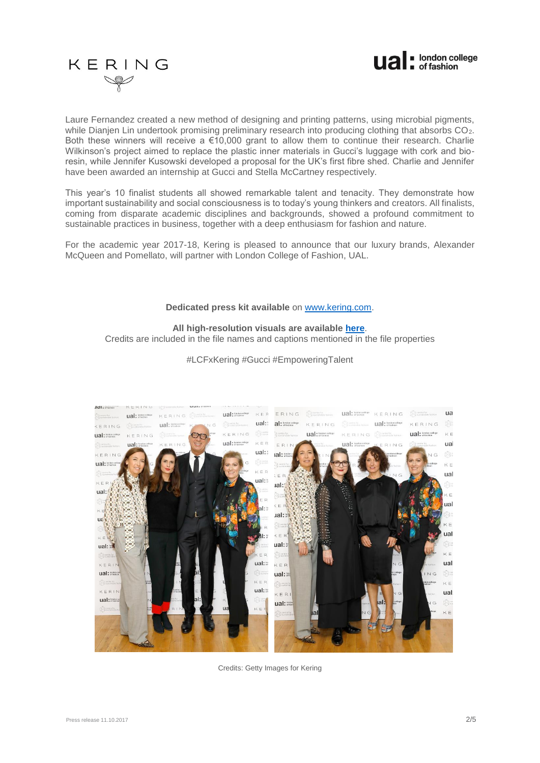

# KERING

Laure Fernandez created a new method of designing and printing patterns, using microbial pigments, while Dianjen Lin undertook promising preliminary research into producing clothing that absorbs CO<sub>2</sub>. Both these winners will receive a €10,000 grant to allow them to continue their research. Charlie Wilkinson's project aimed to replace the plastic inner materials in Gucci's luggage with cork and bioresin, while Jennifer Kusowski developed a proposal for the UK's first fibre shed. Charlie and Jennifer have been awarded an internship at Gucci and Stella McCartney respectively.

This year's 10 finalist students all showed remarkable talent and tenacity. They demonstrate how important sustainability and social consciousness is to today's young thinkers and creators. All finalists, coming from disparate academic disciplines and backgrounds, showed a profound commitment to sustainable practices in business, together with a deep enthusiasm for fashion and nature.

For the academic year 2017-18, Kering is pleased to announce that our luxury brands, Alexander McQueen and Pomellato, will partner with London College of Fashion, UAL.

# **Dedicated press kit available** on [www.kering.com.](http://www.kering.com/)

# **All high-resolution visuals are available [here](https://we.tl/jpvQm9P7eX)**.

Credits are included in the file names and captions mentioned in the file properties



#LCFxKering #Gucci #EmpoweringTalent

Credits: Getty Images for Kering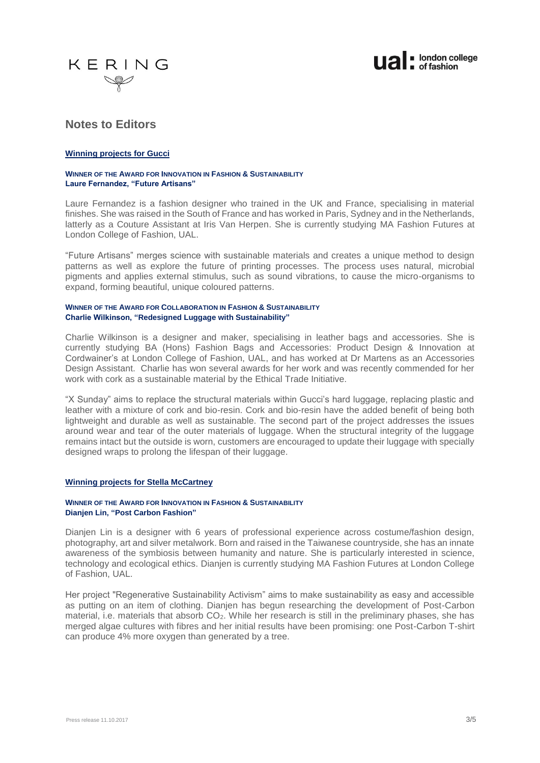



# **Notes to Editors**

# **Winning projects for Gucci**

# **WINNER OF THE AWARD FOR INNOVATION IN FASHION & SUSTAINABILITY Laure Fernandez, "Future Artisans"**

Laure Fernandez is a fashion designer who trained in the UK and France, specialising in material finishes. She was raised in the South of France and has worked in Paris, Sydney and in the Netherlands, latterly as a Couture Assistant at Iris Van Herpen. She is currently studying MA Fashion Futures at London College of Fashion, UAL.

"Future Artisans" merges science with sustainable materials and creates a unique method to design patterns as well as explore the future of printing processes. The process uses natural, microbial pigments and applies external stimulus, such as sound vibrations, to cause the micro-organisms to expand, forming beautiful, unique coloured patterns.

#### **WINNER OF THE AWARD FOR COLLABORATION IN FASHION & SUSTAINABILITY Charlie Wilkinson, "Redesigned Luggage with Sustainability"**

Charlie Wilkinson is a designer and maker, specialising in leather bags and accessories. She is currently studying BA (Hons) Fashion Bags and Accessories: Product Design & Innovation at Cordwainer's at London College of Fashion, UAL, and has worked at Dr Martens as an Accessories Design Assistant. Charlie has won several awards for her work and was recently commended for her work with cork as a sustainable material by the Ethical Trade Initiative.

"X Sunday" aims to replace the structural materials within Gucci's hard luggage, replacing plastic and leather with a mixture of cork and bio-resin. Cork and bio-resin have the added benefit of being both lightweight and durable as well as sustainable. The second part of the project addresses the issues around wear and tear of the outer materials of luggage. When the structural integrity of the luggage remains intact but the outside is worn, customers are encouraged to update their luggage with specially designed wraps to prolong the lifespan of their luggage.

# **Winning projects for Stella McCartney**

## **WINNER OF THE AWARD FOR INNOVATION IN FASHION & SUSTAINABILITY Dianjen Lin, "Post Carbon Fashion"**

Dianjen Lin is a designer with 6 years of professional experience across costume/fashion design, photography, art and silver metalwork. Born and raised in the Taiwanese countryside, she has an innate awareness of the symbiosis between humanity and nature. She is particularly interested in science, technology and ecological ethics. Dianjen is currently studying MA Fashion Futures at London College of Fashion, UAL.

Her project "Regenerative Sustainability Activism" aims to make sustainability as easy and accessible as putting on an item of clothing. Dianjen has begun researching the development of Post-Carbon material, i.e. materials that absorb CO<sub>2</sub>. While her research is still in the preliminary phases, she has merged algae cultures with fibres and her initial results have been promising: one Post-Carbon T-shirt can produce 4% more oxygen than generated by a tree.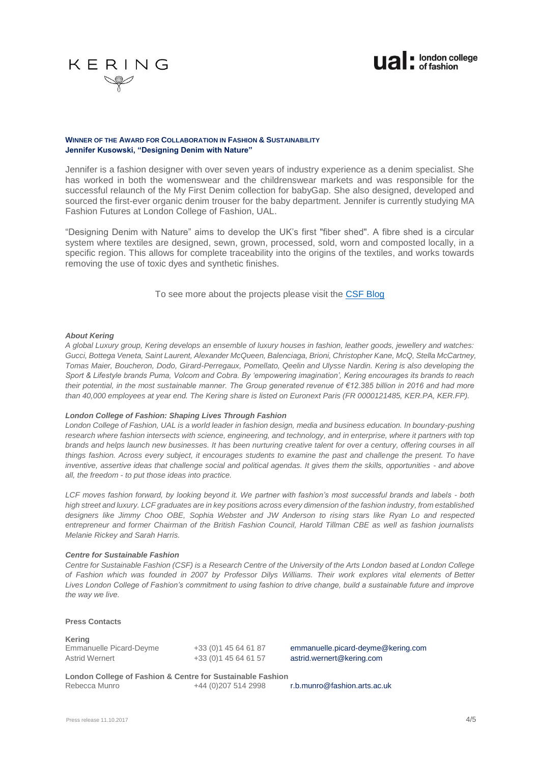



## **WINNER OF THE AWARD FOR COLLABORATION IN FASHION & SUSTAINABILITY Jennifer Kusowski, "Designing Denim with Nature"**

Jennifer is a fashion designer with over seven years of industry experience as a denim specialist. She has worked in both the womenswear and the childrenswear markets and was responsible for the successful relaunch of the My First Denim collection for babyGap. She also designed, developed and sourced the first-ever organic denim trouser for the baby department. Jennifer is currently studying MA Fashion Futures at London College of Fashion, UAL.

"Designing Denim with Nature" aims to develop the UK's first "fiber shed". A fibre shed is a circular system where textiles are designed, sewn, grown, processed, sold, worn and composted locally, in a specific region. This allows for complete traceability into the origins of the textiles, and works towards removing the use of toxic dyes and synthetic finishes.

To see more about the projects please visit the [CSF Blog](http://sustainable-fashion.com/resources/blog/)

#### *About Kering*

*A global Luxury group, Kering develops an ensemble of luxury houses in fashion, leather goods, jewellery and watches: Gucci, Bottega Veneta, Saint Laurent, Alexander McQueen, Balenciaga, Brioni, Christopher Kane, McQ, Stella McCartney, Tomas Maier, Boucheron, Dodo, Girard-Perregaux, Pomellato, Qeelin and Ulysse Nardin. Kering is also developing the Sport & Lifestyle brands Puma, Volcom and Cobra. By 'empowering imagination', Kering encourages its brands to reach their potential, in the most sustainable manner. The Group generated revenue of €12.385 billion in 2016 and had more than 40,000 employees at year end. The Kering share is listed on Euronext Paris (FR 0000121485, KER.PA, KER.FP).*

#### *[London College of Fashion: Shaping Lives Through Fashion](http://www.arts.ac.uk/fashion/)*

*London College of Fashion, UAL is a world leader in fashion design, media and business education. In boundary-pushing research where fashion intersects with science, engineering, and technology, and in enterprise, where it partners with top brands and helps launch new businesses. It has been nurturing creative talent for over a century, offering courses in all things fashion. Across every subject, it encourages students to examine the past and challenge the present. To have inventive, assertive ideas that challenge social and political agendas. It gives them the skills, opportunities - and above all, the freedom - to put those ideas into practice.* 

*LCF moves fashion forward, by looking beyond it. We partner with fashion's most successful brands and labels - both high street and luxury. LCF graduates are in key positions across every dimension of the fashion industry, from established designers like Jimmy Choo OBE, Sophia Webster and JW Anderson to rising stars like Ryan Lo and respected entrepreneur and former Chairman of the British Fashion Council, Harold Tillman CBE as well as fashion journalists Melanie Rickey and Sarah Harris.*

#### *[Centre for Sustainable](http://sustainable-fashion.com/) Fashion*

*Centre for Sustainable Fashion (CSF) is a [Research Centre of the University of the Arts London](http://www.arts.ac.uk/research/ual-research-centres/) based at London College of Fashion which was founded in 2007 by Professor Dilys Williams. Their work explores vital elements of [Better](http://www.arts.ac.uk/fashion/about/better-lives/)  [Lives](http://www.arts.ac.uk/fashion/about/better-lives/) London College of Fashion's commitment to using fashion to drive change, build a sustainable future and improve the way we live.*

**Press Contacts** 

**Kering** Emmanuelle Picard-Deyme +33 (0)1 45 64 61 87 emmanuelle.picard-deyme@kering.com Astrid Wernert **+33 (0)1 45 64 61 57** [astrid.wernert@kering.com](mailto:astrid.wernert@kering.com)

**London College of Fashion & Centre for Sustainable Fashion** +44 (0)207 514 2998 [r.b.munro@fashion.arts.ac.uk](mailto:r.b.munro@fashion.arts.ac.uk)